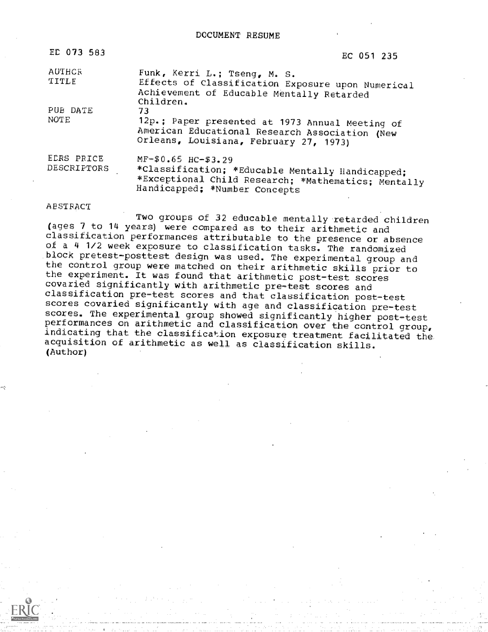| ED 073 583                | EC 051 235                                                                                                                                                        |
|---------------------------|-------------------------------------------------------------------------------------------------------------------------------------------------------------------|
| AUTHCR<br>TITLE           | Funk, Kerri L.; Tseng, M. S.<br>Effects of Classification Exposure upon Numerical<br>Achievement of Educable Mentally Retarded<br>Children.                       |
| PUB DATE<br>NOTE          | 73<br>12p.; Paper presented at 1973 Annual Meeting of<br>American Educational Research Association (New<br>Orleans, Louisiana, February 27, 1973)                 |
| ECRS PRICE<br>DESCRIPTORS | $MF-$0.65$ $HC-$3.29$<br>*Classification; *Educable Mentally Handicapped;<br>*Exceptional Child Research; *Mathematics; Mentally<br>Handicapped; *Number Concepts |

#### ABSTRACT

Two groups of 32 educable mentally retarded children (ages 7 to 14 years) were compared as to their arithmetic and classification performances attributable to the presence or absence of a 4 1/2 week exposure to classification tasks. The randomized block pretest-posttest design was used. The experimental group and the control group were matched on their arithmetic skills prior to<br>the experiment. It was found that arithmetic post-test scores covaried significantly with arithmetic pre-test scores and classification pre-test scores and that classification post-test<br>scores covaried significantly with age and classification pre-test scores. The experimental group showed significantly higher post-test<br>performances on arithmetic and classification over the control group, indicating that the classification exposure treatment facilitated the acquisition of arithmetic as well as classification skills. (Author)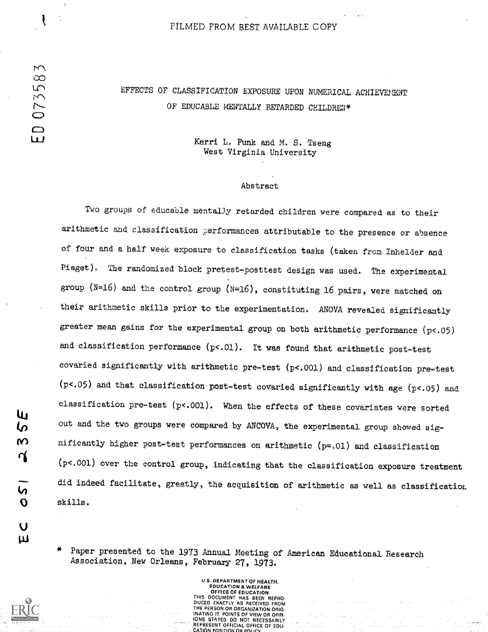#### FILMED FROM BEST AVAILABLE COPY

# EFFECTS OF CLASSIFICATION EXPOSURE UPON NUMERICAL ACHIEVEMENT OF EDUCABLE MENTALLY RETARDED CHILDREN\*

## Kerri L. Funk and M. S. Tseng West Virginia University

#### Abstract

Two groups of educable mentally retarded children were compared as to their arithmetic and classification performances attributable to the presence or absence of four and a half week exposure to classification tasks (taken from Inhelder and Piaget). The randomized block pretest-posttest design was used. The experimental group (N=16) and the control group (N=16), constituting 16 pairs, were matched on their arithmetic skills prior to the experimentation. ANOVA revealed significantly greater mean gains for the experimental group on both arithmetic performance (p<.05) and classification performance  $(p< .01)$ . It was found that arithmetic post-test covaried significantly with arithmetic pre-test (p<.001) and classification pre-test (p<.05) and that classification post-test covaried significantly with age (p<.05) and classification pre-test  $(p< .001)$ . When the effects of these covariates were sorted cut and the two groups were compared by ARCOVA, the experimental group showed significantly higher post-test performances on arithmetic  $(p=.01)$  and classification  $(p<.001)$  over the control group, indicating that the classification exposure treatment did indeed facilitate, greatly, the acquisition of arithmetic as well as classification, skills.

Paper presented to the 1973 Annual Meeting of American Educational Research Association, New Orleans, February 27, 1973.

> U.S. DEPARTMENT OF HEALTH, EDUCATION & WELFARE OFFICE OF EDUCATION DOCUMENT HAS BEEN REPRO-**EXACTLY AS RECEIVED FROM** THE PERSON OR ORGANIZATION ORIG-**INATING IT POINTS OF VIEW OR OPIN-**<br>IONS STATED OO NOT NECESSARIUM STATED DO NOT NECESSARILY REPRESENT OFFICIAL OFFICE OF EDu-CATION POSITION OR POLICY

Uı. מ M ്

ທ  $\mathbf O$ 

 $\overline{U}$ Ш LU

 $\Box$ 

Į

 $\sim$ 8

0735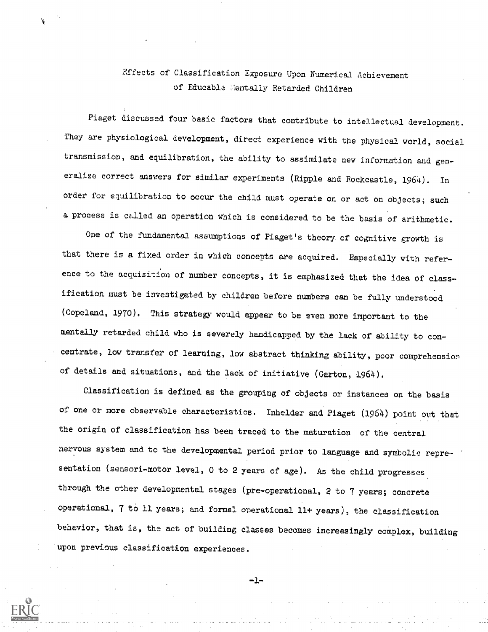# Effects of Classification Exposure Upon Numerical Achievement of Educable Mentally Retarded Children

Piaget discussed four basic factors that contribute to intellectual development. They are physiological development, direct experience with the physical world, social transmission, and equilibration, the ability to assimilate new information and generalize correct answers for similar experiments (Ripple and Rockeastle, 1964). In order for equilibration to occur the child must operate on or act on objects; such a process is called an operation which is considered to be the basis of arithmetic.

One of the fundamental assumptions of Piaget's theory. of cognitive growth is that there is a fixed order in which concepts are acquired. Especially with reference to the acquisition of number concepts, it is emphasized that the idea of classification must be investigated by children before numbers can be fully understood (Copeland, 1970). This strategy would appear to be even more important to the mentally retarded child who is severely handicapped by the lack of ability to con centrate, low transfer of learning, low abstract thinking ability, poor comprehension of details and situations, and the lack of initiative (Garton, 1964).

Classification is defined as the grouping of objects or instances on the basis of one or more observable characteristics. Inhelder and Piaget (1964) point out that the origin of classification has been traced to the maturation of the central nervous system and to the developmental period prior to language and symbolic representation (sensori-motor level, 0 to 2 years of age). As the child progresses through the other developmental stages (pre-operational, 2 to 7 years; concrete Operational, 7 to 11 years; and formal operational 11+ years), the classification behavior, that is, the act of building classes becomes increasingly complex, building upon previous classification experiences.



-1-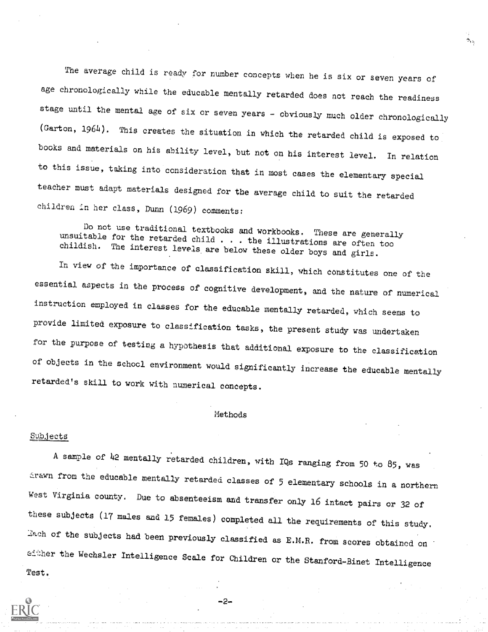The average child is ready for number concepts when he is six or seven years of age chronologically while the educable mentally retarded does not reach the readiness stage until the mental age of six or seven years - obviously much older chronologically (Garton, 1964). This creates the situation in which the retarded child is exposed to books and materials on his ability level, but not on his interest level. In relation to this issue, taking into consideration that in most cases the elementary special teacher must adapt materials designed for the average child to suit the retarded children in her class, Dunn (1969) comments:

۹.,

Do not use traditional textbooks and workbooks. These are generally unsuitable for the retarded child . . the illustrations are often too childish. The interest levels are below these older boys and girls.

In view of the importance of classification skill, which constitutes one of the essential aspects in the process of cognitive development, and the nature of numerical instruction employed in classes for the educable mentally retarded, which seems to provide limited exposure to classification tasks, the present study was undertaken for the purpose of testing a hypothesis that additional exposure to the classification of objects in the school environment would significantly increase the educable mentally retarded's skill to work with numerical concepts.

## Methods

#### Subjects

A sample of  $42$  mentally retarded children, with IQs ranging from 50 to 85, was from the educable mentally retarded classes of 5 elementary schools In a northern West Virginia county. Due to absenteeism and transfer only 16 intact pairs or 32 of these subjects (17 males and 15 females) completed all the requirements of this study. Each of the subjects had been previously classified as E.M.R. from scores obtained on either the Wechsler Intelligence Scale for Children or the Stanford-Binet Intelligence Test.



-2-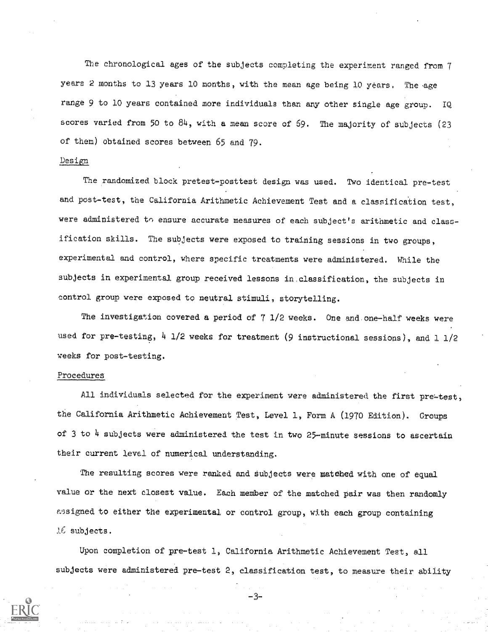The chronological ages of the subjects completing the experiment ranged from  $7$ years 2 months to 13 years 10 months, with the mean age being 10 years. The age range 9 to 10 years contained more individuals than any other single age group. IQ scores varied from 50 to 84, with a mean score of 59. The majority of subjects (23 of them) obtained scores between 65 and 79.

### Design

The randomized block pretest-posttest design was used. Two identical pre-test and post-test, the California Arithmetic Achievement Test and a classification test, were administered to ensure accurate measures of each subject's arithmetic and classification skills. The subjects were exposed to training sessions in two groups, experimental and control, where specific treatments were administered. While the subjects in experimental group received lessons in.classification, the subjects in control group were exposed to neutral stimuli, storytelling.

The investigation covered a period of 7 1/2 weeks. One and.one-half weeks were used for pre-testing, 4 1/2 weeks for treatment (9 instructional sessions), and 1 1/2 weeks for post-testing.

#### Procedures

All individuals selected for the experiment were administered the first pre-test, the California Arithmetic Achievement Test, Level 1, Form A (1970 Edition). Groups of 3 to 4 subjects were administered the test in two 25-minute sessions to ascertain their current level of numerical understanding.

The resulting scores were ranked and Subjects were matched with one of equal value or the next closest value. Each member of the matched pair was then randomly assigned to either the experimental or control group, with each group containing  $16$  subjects.

Upon completion of pre-test 1, California Arithmetic Achievement Test, all subjects were administered pre-test 2, classification test, to measure their ability

-3-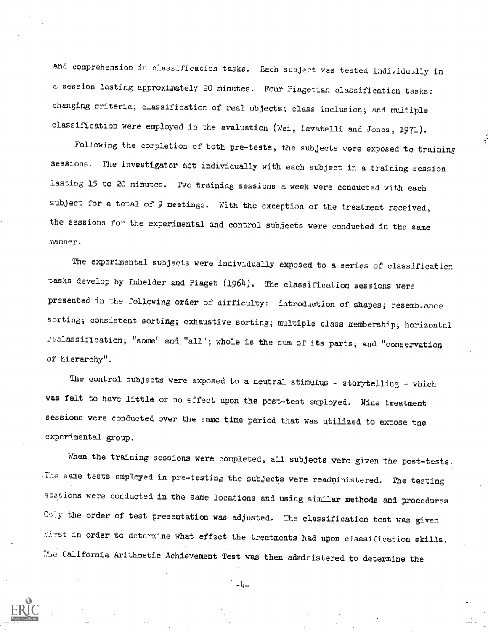and comprehension in classification tasks. Each subject was tested individually in a session lasting approximately 20 minutes. Four Piagetian classification tasks: changing criteria; classification of real objects; class inclusion; and multiple classification were employed in the evaluation (Wei, Lavatelli and Jones, 1971).

Following the completion of both pre-tests, the subjects were exposed to training sessions. The investigator met individually with each subject in a training session lasting 15 to 20 minutes. Two training sessions a week were conducted with each subject for a total of 9 meetings. With the exception of the treatment received, the sessions for the experimental and control subjects were conducted in the same manner.

The experimental subjects were individually exposed to a series of classification tasks develop by Inhelder and Piaget (1964). The classification sessions were presented in the following order of difficulty: introduction of shapes; resemblance sorting; consistent sorting; exhaustive sorting; multiple class membership; horizontal reclassification; "some" and "all"; whole is the sum of its parts; and "conservation of hierarchy".

The control subjects were exposed to a neutral stimulus - storytelling - which was felt to have little or no effect upon the post-test employed. Nine treatment sessions were conducted over the same time period that was utilized to expose the experimental group.

When the training sessions were completed, all subjects were given the post-tests. The same tests employed in pre-testing the subjects were readministered. The testing sessions were conducted in the same locations and using similar methods and procedures  $0:1y$  the order of test presentation was adjusted. The classification test was given st in order to determine what effect the treatments had upon classification skills. 72L,:! California Arithmetic Achievement Test was then administered to determine the



دیا د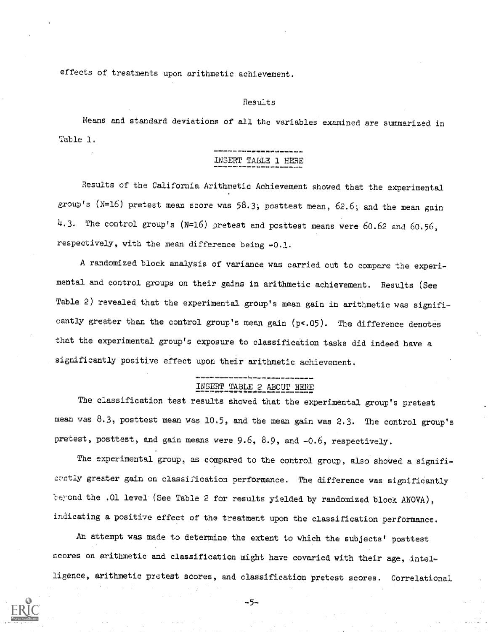effects of treatments upon arithmetic achievement.

#### Result

Means and standard deviations of all the variables examined are summarized in Table 1.

# INSERT TABLE 1 HERE

Results of the California Arithmetic Achievement showed that the experimental group's ( $N=16$ ) pretest mean score was 58.3; posttest mean, 62.6; and the mean gain 4.3. The control group's (N=16) pretest and posttest means were 60.62 and 60.56, respectively, with the mean difference being -0.1.

A randomized block analysis of variance was carried out to compare the experimental and control groups on their gains in arithmetic achievement. Results (See Table 2) revealed that the experimental group's mean gain in arithmetic was significantly greater than the control group's mean gain (p<.05). The difference denotes that the experimental group's exposure to classification tasks did indeed have a significantly positive effect upon their arithmetic achievement.

## ========== INSERT TABLE 2 ABOUT HERE

The classification test results showed that the experimental group's pretest mean was 8.3, posttest mean was 10.5, and the mean gain was 2.3. The control group's pretest, posttest, and gain means were 9.6, 8.9, and -0.6, respectively.

The experimental group, as compared to the control group, also showed a significratly greater gain on classification performance. The difference was significantly beyond the .01 level (See Table 2 for results yielded by randomized block ANOVA), indicating a positive effect of the treatment upon the classification performance.

An attempt was made to determine the extent to which the subjects' posttest scores on arithmetic and classification might have covaried with their age, intelligence, arithmetic pretest scores, and classification pretest scores. Correlational

-5-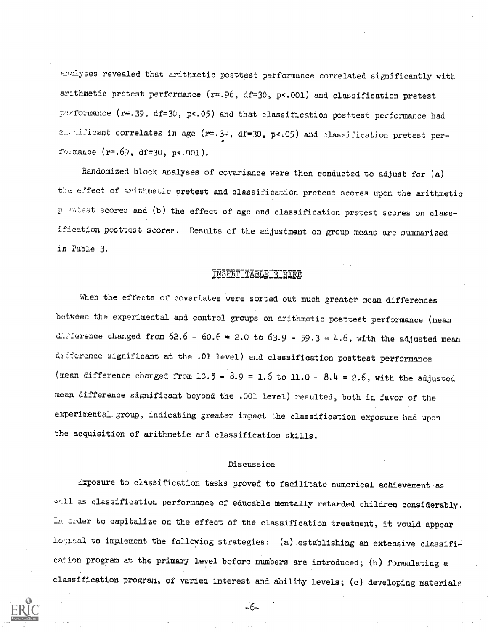analyses revealed that arithmetic posttest performance correlated significantly with arithmetic pretest performance ( $r=.96$ , df=30, p<.001) and classification pretest parformance ( $r=.39$ ,  $df=30$ ,  $p<.05$ ) and that classification posttest performance had significant correlates in age ( $r=.34$ , df=30, p<.05) and classification pretest performance  $(r=.69, d f=30, p<-001)$ .

Randomized block analyses of covariance were then conducted to adjust for  $(a)$ the effect of arithmetic pretest and classification pretest scores upon the arithmetic posstest scores and (b) the effect of age and classification pretest scores on classification posttest scores. Results of the adjustment on group means are summarized in Table 3.

## LNSERT TABLE 3 HERE

When the effects of covariates were sorted out much greater mean differences between the experimental and control groups on arithmetic posttest performance (mean difference changed from  $62.6 - 60.6 = 2.0$  to  $63.9 - 59.3 = 4.6$ , with the adjusted mean difference significant at the .01 level) and classification posttest performance (mean difference changed from  $10.5 - 8.9 = 1.6$  to  $11.0 - 8.4 = 2.6$ , with the adjusted mean difference significant beyond the .001 level) resulted, both in favor of the experimental.group, indicating greater impact the classification exposure had upon the acquisition of arithmetic and classification skills.

#### Discussion

4:xposure to classification tasks proved to facilitate numerical achievement as whil as classification performance of educable mentally retarded children considerably. In order to capitalize on the effect of the classification treatment, it would appear logical to implement the following strategies: (a) establishing an extensive classifiion program at the primary level before numbers are introduced; (b) formulating a classification program, of varied interest and ability levels; (c) developing materials

-6-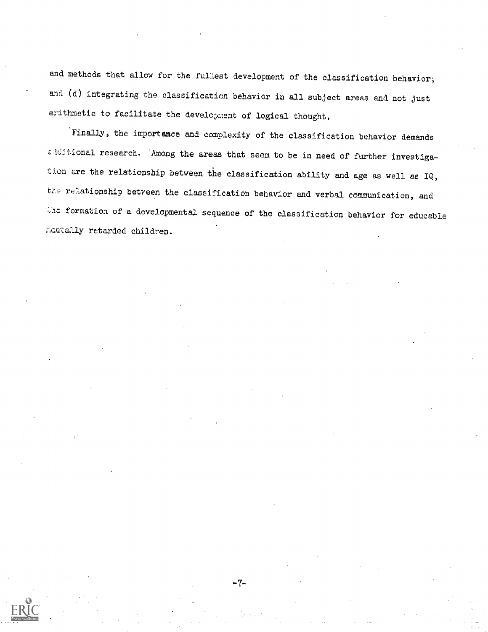and methods that allow for the fullest development of the classification behavior; and (d) integrating the classification behavior in all subject areas and not just arithmetic to facilitate the development of logical thought.

Finally, the importance and complexity of the classification behavior demands  $\varepsilon$ -iditional research. Among the areas that seem to be in need of further investigation are the relationship between the classification ability and age as well as IQ, the relationship between the classification behavior and verbal communication, and  $\forall$ ic formation of a developmental sequence of the classification behavior for educable :cntally retarded children.

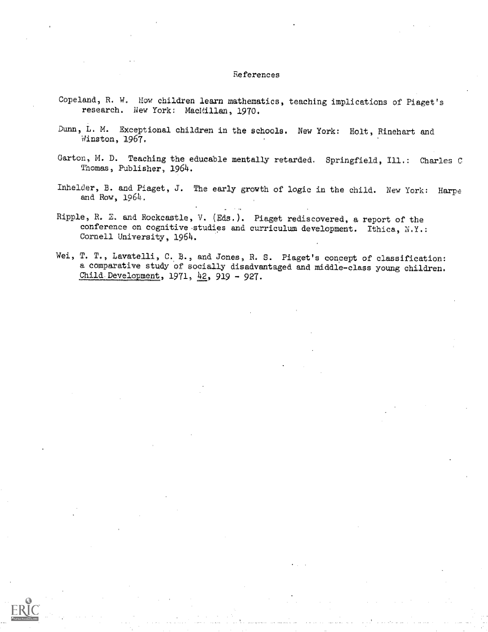#### References

- Copeland, R. W. How children learn mathematics, teaching implications of Piaget's research. New York: MacMillan, 1970.
- Dunn, L. M. Exceptional children in the schools. New York: Holt, Rinehart and Winston, 1967.
- Garton, M. D. Teaching the educable mentally retarded. Springfield, Ill.: Charles C Thomas, Publisher, 1964.
- Inhelder, B. and Piaget, J. The early growth of logic in the child. New York: Harpe and Row, 1964.
- Ripple, R. E. and Rockcastle, V. (Eds.). Piaget rediscovered, a report of the conference on cognitive studies and curriculum development. Ithica, N.Y.: Cornell University, 1964.
- Wei, T. T., Lavatelli, C. B., and Jones, R. S. Piaget's concept of classification: a comparative study of socially disadvantaged and middle-class young children. Child Development, 1971,  $42$ , 919 - 927.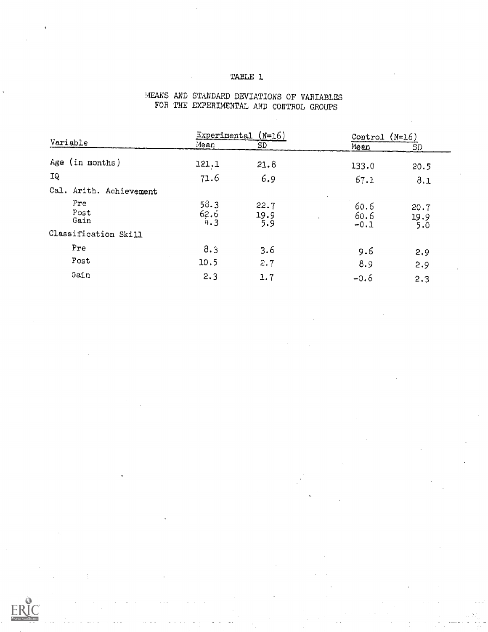## TABLE 1

|                         | Experimental (N=16) |                     | $(N=16)$<br>Control    |                     |
|-------------------------|---------------------|---------------------|------------------------|---------------------|
| Variable                | Mean                | SD                  | Mean                   | SD                  |
| Age (in months)         | 121.1               | 21.8                | 133.0                  | 20.5                |
| IQ                      | 71.6                | 6.9                 | 67.1                   | 8.1                 |
| Cal. Arith. Achievement |                     |                     |                        |                     |
| Pre<br>Post<br>Gain     | 58.3<br>62.6<br>4.3 | 22.7<br>19.9<br>5.9 | 60.6<br>60.6<br>$-0.1$ | 20.7<br>19.9<br>5.0 |
| Classification Skill    |                     |                     |                        |                     |
| Pre                     | 8.3                 | 3.6                 | 9.6                    | 2.9                 |
| Post                    | 10.5                | 2.7                 | 8.9                    | 2.9                 |
| Gain                    | 2.3                 | 1.7                 | $-0.6$                 | 2.3                 |

## MEANS AND STANDARD DEVIATIONS OF VARIABLES FOR THE EXPERIMENTAL AND CONTROL GROUPS

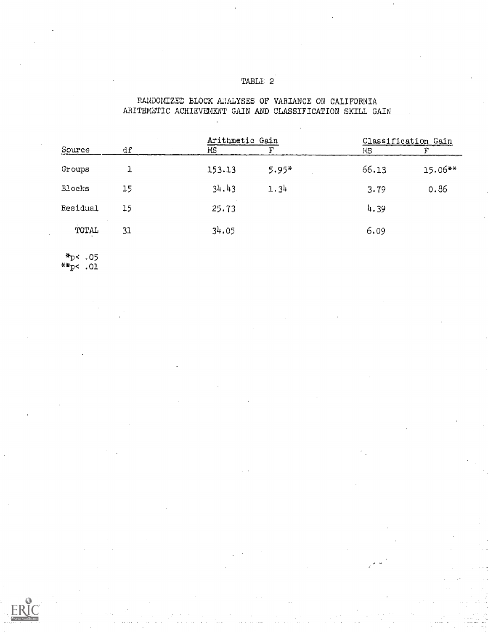# TABLE 2

RANDOMIZED BLOCK ANALYSES OF VARIANCE ON CALIFORNIA ARITHMETIC ACHIEVEMENT GAIN AND CLASSIFICATION SKILL GAIN

#### Source df Arithmetic Gain<br>MC THE Classification Gain  $\begin{tabular}{ll} Arithmetic & Gain \\ \hline MS & F \\ \end{tabular}$ Groups Blocks Residual  $_{\rm TOTAL}$ 1 15 15 31 153.13 34.43 25.73 34.05 5.95\* 1.34 66.13 3.79 4.39 6.09 15.06\*\* 0.86

\*p< .05 \*\*1 .01